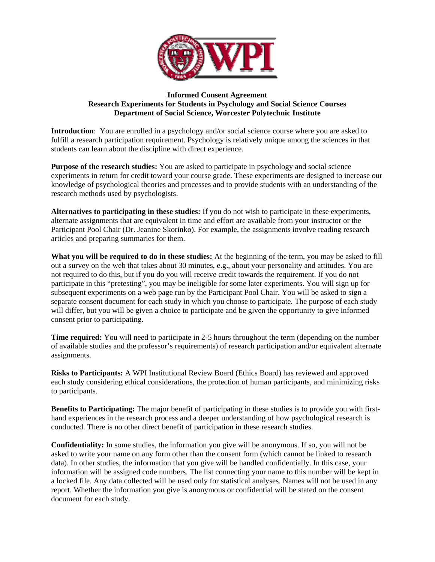

## **Informed Consent Agreement Research Experiments for Students in Psychology and Social Science Courses Department of Social Science, Worcester Polytechnic Institute**

**Introduction**: You are enrolled in a psychology and/or social science course where you are asked to fulfill a research participation requirement. Psychology is relatively unique among the sciences in that students can learn about the discipline with direct experience.

**Purpose of the research studies:** You are asked to participate in psychology and social science experiments in return for credit toward your course grade. These experiments are designed to increase our knowledge of psychological theories and processes and to provide students with an understanding of the research methods used by psychologists.

**Alternatives to participating in these studies:** If you do not wish to participate in these experiments, alternate assignments that are equivalent in time and effort are available from your instructor or the Participant Pool Chair (Dr. Jeanine Skorinko). For example, the assignments involve reading research articles and preparing summaries for them.

**What you will be required to do in these studies:** At the beginning of the term, you may be asked to fill out a survey on the web that takes about 30 minutes, e.g., about your personality and attitudes. You are not required to do this, but if you do you will receive credit towards the requirement. If you do not participate in this "pretesting", you may be ineligible for some later experiments. You will sign up for subsequent experiments on a web page run by the Participant Pool Chair. You will be asked to sign a separate consent document for each study in which you choose to participate. The purpose of each study will differ, but you will be given a choice to participate and be given the opportunity to give informed consent prior to participating.

**Time required:** You will need to participate in 2-5 hours throughout the term (depending on the number of available studies and the professor's requirements) of research participation and/or equivalent alternate assignments.

**Risks to Participants:** A WPI Institutional Review Board (Ethics Board) has reviewed and approved each study considering ethical considerations, the protection of human participants, and minimizing risks to participants.

**Benefits to Participating:** The major benefit of participating in these studies is to provide you with firsthand experiences in the research process and a deeper understanding of how psychological research is conducted. There is no other direct benefit of participation in these research studies.

**Confidentiality:** In some studies, the information you give will be anonymous. If so, you will not be asked to write your name on any form other than the consent form (which cannot be linked to research data). In other studies, the information that you give will be handled confidentially. In this case, your information will be assigned code numbers. The list connecting your name to this number will be kept in a locked file. Any data collected will be used only for statistical analyses. Names will not be used in any report. Whether the information you give is anonymous or confidential will be stated on the consent document for each study.